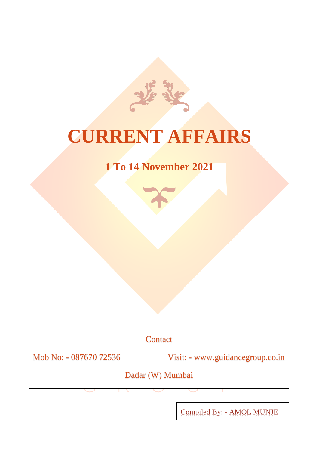# **CURRENT AFFAIRS**

# **1 To 14 November 2021**

**Contact** 

Mob No: - 087670 72536 Visit: - www.guidancegroup.co.in

Dadar (W) Mumbai

Compiled By: - AMOL MUNJE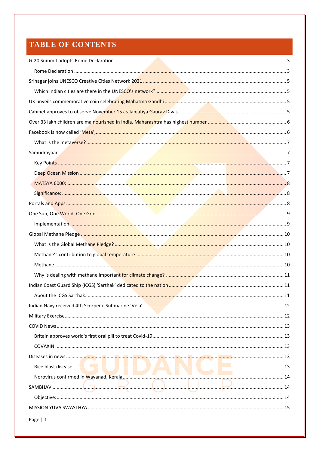### TABLE OF CONTENTS

| I I <i>de la com</i> |  |
|----------------------|--|
|                      |  |
|                      |  |
|                      |  |
| Page $ 1$            |  |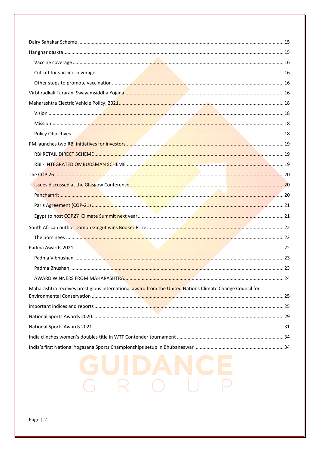| Maharashtra receives prestigious international award from the United Nations Climate Change Council for |  |
|---------------------------------------------------------------------------------------------------------|--|
|                                                                                                         |  |
|                                                                                                         |  |
|                                                                                                         |  |
|                                                                                                         |  |
|                                                                                                         |  |
|                                                                                                         |  |
|                                                                                                         |  |
|                                                                                                         |  |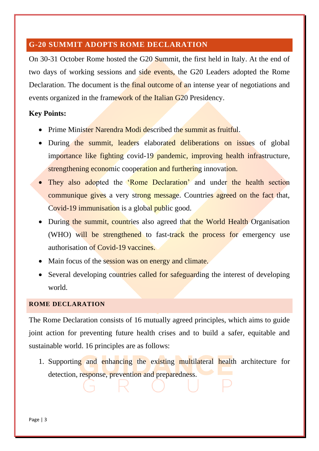#### <span id="page-3-0"></span>**G-20 SUMMIT ADOPTS ROME DECLARATION**

On 30-31 October Rome hosted the G20 Summit, the first held in Italy. At the end of two days of working sessions and side events, the G20 Leaders adopted the Rome Declaration. The document is the final outcome of an intense year of negotiations and events organized in the framework of the Italian G20 Presidency.

#### **Key Points:**

- Prime Minister Narendra Modi described the summit as fruitful.
- During the summit, leaders elaborated deliberations on issues of global importance like fighting covid-19 pandemic, improving health infrastructure, strengthening economic cooperation and furthering innovation.
- They also adopted the 'Rome Declaration' and under the health section communique gives a very strong message. Countries agreed on the fact that, Covid-19 immunisation is a global public good.
- During the summit, countries also agreed that the World Health Organisation (WHO) will be strengthened to fast-track the process for emergency use authorisation of Covid-19 vaccines.
- Main focus of the session was on energy and climate.
- Several developing countries called for safeguarding the interest of developing world.

#### <span id="page-3-1"></span>**ROME DECLARATION**

The Rome Declaration consists of 16 mutually agreed principles, which aims to guide joint action for preventing future health crises and to build a safer, equitable and sustainable world. 16 principles are as follows:

1. Supporting and enhancing the existing multilateral health architecture for detection, response, prevention and preparedness.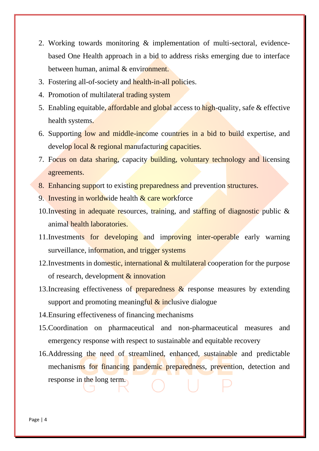- 2. Working towards monitoring & implementation of multi-sectoral, evidencebased One Health approach in a bid to address risks emerging due to interface between human, animal & environment.
- 3. Fostering all-of-society and health-in-all policies.
- 4. Promotion of multilateral trading system
- 5. Enabling equitable, affordable and global access to high-quality, safe & effective health systems.
- 6. Supporting low and middle-income countries in a bid to build expertise, and develop local & regional manufacturing capacities.
- 7. Focus on data sharing, capacity building, voluntary technology and licensing agreements.
- 8. Enhancing support to existing preparedness and prevention structures.
- 9. Investing in worldwide health  $\&$  care workforce
- 10.Investing in adequate resources, training, and staffing of diagnostic public & animal health laboratories.
- 11. Investments for developing and improving inter-operable early warning surveillance, information, and trigger systems
- 12. Investments in domestic, international & multilateral cooperation for the purpose of research, development & innovation
- 13. Increasing effectiveness of **preparedness**  $\&$  response measures by extending support and promoting meaningful  $\&$  inclusive dialogue
- 14.Ensuring effectiveness of financing mechanisms
- 15.Coordination on pharmaceutical and non-pharmaceutical measures and emergency response with respect to sustainable and equitable recovery
- 16.Addressing the need of streamlined, enhanced, sustainable and predictable mechanisms for financing pandemic preparedness, prevention, detection and response in the long term.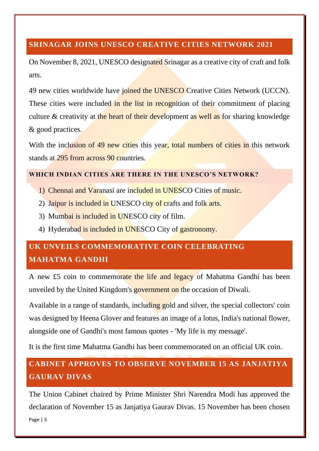#### <span id="page-5-0"></span>**SRINAGAR JOINS UNESCO CREATIVE CITIES NETWORK 2021**

On November 8, 2021, UNESCO designated Srinagar as a creative city of craft and folk arts.

49 new cities worldwide have joined the UNESCO Creative Cities Network (UCCN). These cities were included in the list in recognition of their commitment of placing culture & creativity at the heart of their development as well as for sharing knowledge & good practices.

With the inclusion of 49 new cities this year, total numbers of cities in this network stands at 295 from across 90 countries.

#### <span id="page-5-1"></span>**WHICH INDIAN CITIES ARE THERE IN THE UNESCO'S NETWORK?**

- 1) Chennai and Varanasi are included in UNESCO Cities of music.
- 2) Jaipur is included in UNESCO city of crafts and folk arts.
- 3) Mumbai is included in UNESCO city of film.
- 4) Hyderabad is included in UNESCO City of gastronomy.

# <span id="page-5-2"></span>**UK UNVEILS COMMEMORATIVE COIN CELEBRATING MAHATMA GANDHI**

A new £5 coin to commemorate the life and legacy of Mahatma Gandhi has been unveiled by the United Kingdom's government on the occasion of Diwali.

Available in a range of standards, including gold and silver, the special collectors' coin was designed by Heena Glover and features an image of a lotus, India's national flower, alongside one of Gandhi's most famous quotes - 'My life is my message'.

It is the first time Mahatma Gandhi has been commemorated on an official UK coin.

# <span id="page-5-3"></span>**CABINET APPROVES TO OBSERVE NOVEMBER 15 AS JANJATIYA GAURAV DIVAS**

Page | 5 The Union Cabinet chaired by Prime Minister Shri Narendra Modi has approved the declaration of November 15 as Janjatiya Gaurav Divas. 15 November has been chosen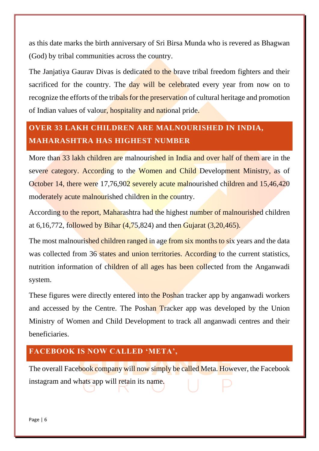as this date marks the birth anniversary of Sri Birsa Munda who is revered as Bhagwan (God) by tribal communities across the country.

The Janjatiya Gaurav Divas is dedicated to the brave tribal freedom fighters and their sacrificed for the country. The day will be celebrated every year from now on to recognize the efforts of the tribals for the preservation of cultural heritage and promotion of Indian values of valour, hospitality and national pride.

# <span id="page-6-0"></span>**OVER 33 LAKH CHILDREN ARE MALNOURISHED IN INDIA, MAHARASHTRA HAS HIGHEST NUMBER**

More than 33 lakh children are malnourished in India and over half of them are in the severe category. According to the Women and Child Development Ministry, as of October 14, there were 17,76,902 severely acute malnourished children and 15,46,420 moderately acute malnourished children in the country.

According to the report, Maharashtra had the highest number of malnourished children at 6,16,772, followed by Bihar (4,75,824) and then Gujarat (3,20,465).

The most malnourished children ranged in age from six months to six years and the data was collected from 36 states and union territories. According to the current statistics, nutrition information of children of all ages has been collected from the Anganwadi system.

These figures were directly entered into the Poshan tracker app by anganwadi workers and accessed by the Centre. The Poshan Tracker app was developed by the Union Ministry of Women and Child Development to track all anganwadi centres and their beneficiaries.

### <span id="page-6-1"></span>**FACEBOOK IS NOW CALLED 'META',**

The overall Facebook company will now simply be called Meta. However, the Facebook instagram and whats app will retain its name.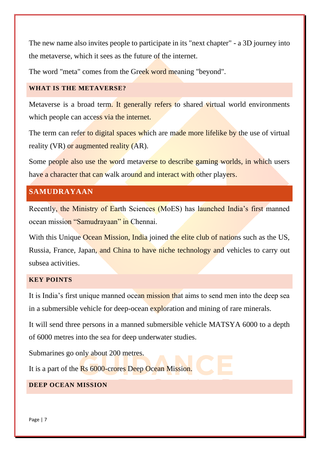The new name also invites people to participate in its "next chapter" - a 3D journey into the metaverse, which it sees as the future of the internet.

The word "meta" comes from the Greek word meaning "beyond".

#### <span id="page-7-0"></span>**WHAT IS THE METAVERSE?**

Metaverse is a broad term. It generally refers to shared virtual world environments which people can access via the internet.

The term can refer to digital spaces which are made more lifelike by the use of virtual reality (VR) or augmented reality (AR).

Some people also use the word metaverse to describe gaming worlds, in which users have a character that can walk around and interact with other players.

#### <span id="page-7-1"></span>**SAMUDRAYAAN**

Recently, the Ministry of Earth Sciences (MoES) has launched India's first manned ocean mission "Samudrayaan" in Chennai.

With this Unique Ocean Mission, India joined the elite club of nations such as the US, Russia, France, Japan, and China to have niche technology and vehicles to carry out subsea activities.

#### <span id="page-7-2"></span>**KEY POINTS**

It is India's first unique manned ocean mission that aims to send men into the deep sea in a submersible vehicle for deep-ocean exploration and mining of rare minerals.

It will send three persons in a manned submersible vehicle MATSYA 6000 to a depth of 6000 metres into the sea for deep underwater studies.

Submarines go only about 200 metres.

It is a part of the Rs 6000-crores Deep Ocean Mission.

#### <span id="page-7-3"></span>**DEEP OCEAN MISSION**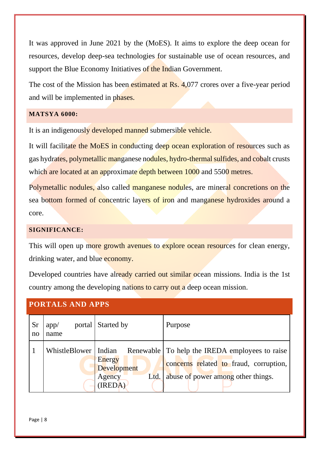It was approved in June 2021 by the (MoES). It aims to explore the deep ocean for resources, develop deep-sea technologies for sustainable use of ocean resources, and support the Blue Economy Initiatives of the Indian Government.

The cost of the Mission has been estimated at Rs. 4,077 crores over a five-year period and will be implemented in phases.

#### <span id="page-8-0"></span>**MATSYA 6000:**

It is an indigenously developed manned submersible vehicle.

It will facilitate the MoES in conducting deep ocean exploration of resources such as gas hydrates, polymetallic manganese nodules, hydro-thermal sulfides, and cobalt crusts which are located at an approximate depth between 1000 and 5500 metres.

Polymetallic nodules, also called manganese nodules, are mineral concretions on the sea bottom formed of concentric layers of iron and manganese hydroxides around a core.

#### <span id="page-8-1"></span>**SIGNIFICANCE:**

This will open up more growth avenues to explore ocean resources for clean energy, drinking water, and blue economy.

Developed countries have already carried out similar ocean missions. India is the 1st country among the developing nations to carry out a deep ocean mission.

#### <span id="page-8-2"></span>**PORTALS AND APPS**

| <b>Sr</b><br>$\mathbf{n}$ | app/<br>name           | portal Started by                                         | Purpose                                                                                                                        |
|---------------------------|------------------------|-----------------------------------------------------------|--------------------------------------------------------------------------------------------------------------------------------|
|                           | WhistleBlower   Indian | Energy<br><b>Development</b><br>Ltd.<br>Agency<br>(IREDA) | Renewable To help the IREDA employees to raise<br>concerns related to fraud, corruption,<br>abuse of power among other things. |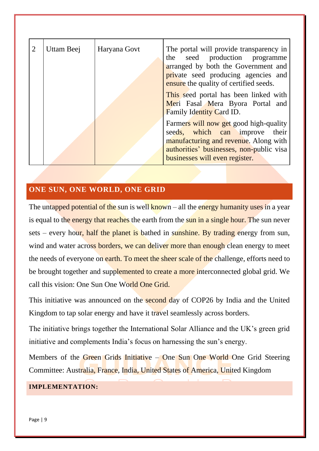| $\overline{2}$ | Uttam Beej | Haryana Govt | The portal will provide transparency in<br>seed production programme<br>the<br>arranged by both the Government and<br>private seed producing agencies and<br>ensure the quality of certified seeds. |
|----------------|------------|--------------|-----------------------------------------------------------------------------------------------------------------------------------------------------------------------------------------------------|
|                |            |              | This seed portal has been linked with<br>Meri Fasal Mera Byora Portal and<br>Family Identity Card ID.                                                                                               |
|                |            |              | Farmers will now get good high-quality<br>seeds, which can improve<br>their<br>manufacturing and revenue. Along with<br>authorities' businesses, non-public visa<br>businesses will even register.  |

#### <span id="page-9-0"></span>**ONE SUN, ONE WORLD, ONE GRID**

The untapped potential of the sun is well known  $-$  all the energy humanity uses in a year is equal to the energy that reaches the earth from the sun in a single hour. The sun never sets – every hour, half the planet is bathed in sunshine. By trading energy from sun, wind and water across borders, we can deliver more than enough clean energy to meet the needs of everyone on earth. To meet the sheer scale of the challenge, efforts need to be brought together and supplemented to create a more interconnected global grid. We call this vision: One Sun One World One Grid.

This initiative was announced on the second day of COP26 by India and the United Kingdom to tap solar energy and have it travel seamlessly across borders.

The initiative brings together the International Solar Alliance and the UK's green grid initiative and complements India's focus on harnessing the sun's energy.

Members of the Green Grids Initiative – One Sun One World One Grid Steering Committee: Australia, France, India, United States of America, United Kingdom

#### <span id="page-9-1"></span>**IMPLEMENTATION:**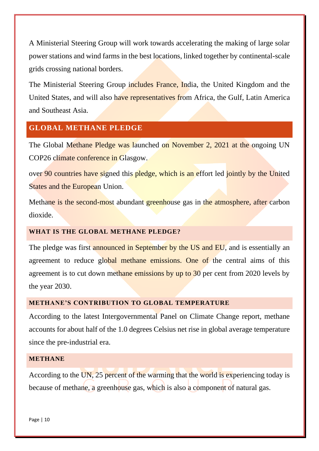A Ministerial Steering Group will work towards accelerating the making of large solar power stations and wind farms in the best locations, linked together by continental-scale grids crossing national borders.

The Ministerial Steering Group includes France, India, the United Kingdom and the United States, and will also have representatives from Africa, the Gulf, Latin America and Southeast Asia.

#### <span id="page-10-0"></span>**GLOBAL METHANE PLEDGE**

The Global Methane Pledge was launched on November 2, 2021 at the ongoing UN COP26 climate conference in Glasgow.

over 90 countries have signed this pledge, which is an effort led jointly by the United **States and the European Union.** 

Methane is the second-most abundant greenhouse gas in the atmosphere, after carbon dioxide.

#### <span id="page-10-1"></span>**WHAT IS THE GLOBAL METHANE PLEDGE?**

The pledge was first announced in September by the US and EU, and is essentially an agreement to reduce global methane emissions. One of the central aims of this agreement is to cut down methane emissions by up to 30 per cent from 2020 levels by the year 2030.

#### <span id="page-10-2"></span>**METHANE'S CONTRIBUTION TO GLOBAL TEMPERATURE**

According to the latest Intergovernmental Panel on Climate Change report, methane accounts for about half of the 1.0 degrees Celsius net rise in global average temperature since the pre-industrial era.

#### <span id="page-10-3"></span>**METHANE**

According to the UN, 25 percent of the warming that the world is experiencing today is because of methane, a greenhouse gas, which is also a component of natural gas.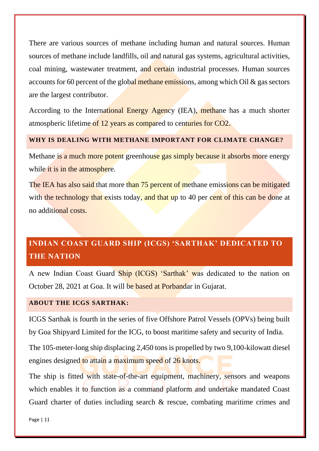There are various sources of methane including human and natural sources. Human sources of methane include landfills, oil and natural gas systems, agricultural activities, coal mining, wastewater treatment, and certain industrial processes. Human sources accounts for 60 percent of the global methane emissions, among which Oil  $\&$  gas sectors are the largest contributor.

According to the International Energy Agency (IEA), methane has a much shorter atmospheric lifetime of 12 years as compared to centuries for CO2.

#### <span id="page-11-0"></span>**WHY IS DEALING WITH METHANE IMPORTANT FOR CLIMATE CHANGE?**

Methane is a much more potent greenhouse gas simply because it absorbs more energy while it is in the atmosphere.

The IEA has also said that more than 75 percent of methane emissions can be mitigated with the technology that exists today, and that up to 40 per cent of this can be done at no additional costs.

# <span id="page-11-1"></span>**INDIAN COAST GUARD SHIP (ICGS) 'SARTHAK' DEDICATED TO THE NATION**

A new Indian Coast Guard Ship (ICGS) 'Sarthak' was dedicated to the nation on October 28, 2021 at Goa. It will be based at Porbandar in Gujarat.

#### <span id="page-11-2"></span>**ABOUT THE ICGS SARTHAK:**

ICGS Sarthak is fourth in the series of five Offshore Patrol Vessels (OPVs) being built by Goa Shipyard Limited for the ICG, to boost maritime safety and security of India.

The 105-meter-long ship displacing 2,450 tons is propelled by two 9,100-kilowatt diesel engines designed to attain a maximum speed of 26 knots.

The ship is fitted with state-of-the-art equipment, machinery, sensors and weapons which enables it to function as a command platform and undertake mandated Coast Guard charter of duties including search & rescue, combating maritime crimes and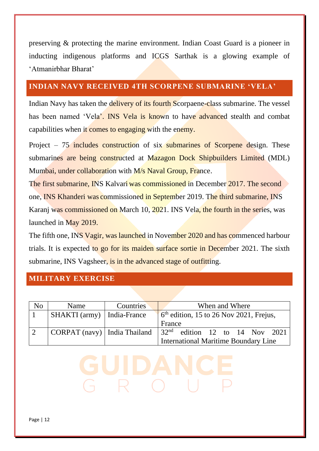preserving & protecting the marine environment. Indian Coast Guard is a pioneer in inducting indigenous platforms and ICGS Sarthak is a glowing example of 'Atmanirbhar Bharat'

#### <span id="page-12-0"></span>**INDIAN NAVY RECEIVED 4TH SCORPENE SUBMARINE 'VELA'**

Indian Navy has taken the delivery of its fourth Scorpaene-class submarine. The vessel has been named 'Vela'. INS Vela is known to have advanced stealth and combat capabilities when it comes to engaging with the enemy.

Project – 75 includes construction of six submarines of Scorpene design. These submarines are being constructed at Mazagon Dock Shipbuilders Limited (MDL) Mumbai, under collaboration with M/s Naval Group, France.

The first submarine, INS Kalvari was commissioned in December 2017. The second one, INS Khanderi was commissioned in September 2019. The third submarine, INS Karanj was commissioned on March 10, 2021. INS Vela, the fourth in the series, was launched in May 2019.

The fifth one, INS Vagir, was launched in November 2020 and has commenced harbour trials. It is expected to go for its maiden surface sortie in December 2021. The sixth submarine, INS Vagsheer, is in the advanced stage of outfitting.

#### <span id="page-12-1"></span>**MILITARY EXERCISE**

| N <sub>0</sub> | Name                           | Countries | When and Where                                             |
|----------------|--------------------------------|-----------|------------------------------------------------------------|
|                | SHAKTI (army)   India-France   |           | $\int$ 6 <sup>th</sup> edition, 15 to 26 Nov 2021, Frejus, |
|                |                                |           | France                                                     |
|                | CORPAT (navy)   India Thailand |           | $\sqrt{32^{nd}}$ edition 12 to 14 Nov 2021                 |
|                |                                |           | International Maritime Boundary Line                       |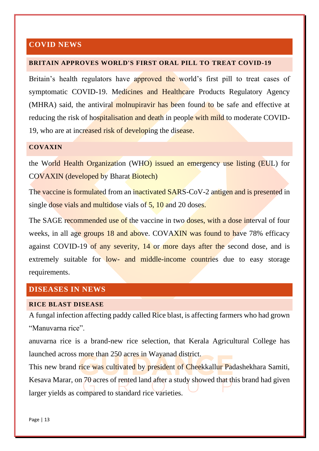#### <span id="page-13-0"></span>**COVID NEWS**

#### <span id="page-13-1"></span>**BRITAIN APPROVES WORLD'S FIRST ORAL PILL TO TREAT COVID-19**

Britain's health regulators have approved the world's first pill to treat cases of symptomatic COVID-19. Medicines and Healthcare Products Regulatory Agency (MHRA) said, the antiviral molnupiravir has been found to be safe and effective at reducing the risk of hospitalisation and death in people with mild to moderate COVID-19, who are at increased risk of developing the disease.

#### <span id="page-13-2"></span>**COVAXIN**

the World Health Organization (WHO) issued an emergency use listing (EUL) for COVAXIN (developed by Bharat Biotech)

The vaccine is formulated from an inactivated SARS-CoV-2 antigen and is presented in single dose vials and multidose vials of 5, 10 and 20 doses.

The SAGE recommended use of the vaccine in two doses, with a dose interval of four weeks, in all age groups 18 and above. COVAXIN was found to have 78% efficacy against COVID-19 of any severity, 14 or more days after the second dose, and is extremely suitable for low- and middle-income countries due to easy storage requirements.

#### <span id="page-13-3"></span>**DISEASES IN NEWS**

#### <span id="page-13-4"></span>**RICE BLAST DISEASE**

A fungal infection affecting paddy called Rice blast, is affecting farmers who had grown "Manuvarna rice".

anuvarna rice is a brand-new rice selection, that Kerala Agricultural College has launched across more than 250 acres in Wayanad district.

This new brand rice was cultivated by president of Cheekkallur Padashekhara Samiti, Kesava Marar, on 70 acres of rented land after a study showed that this brand had given larger yields as compared to standard rice varieties.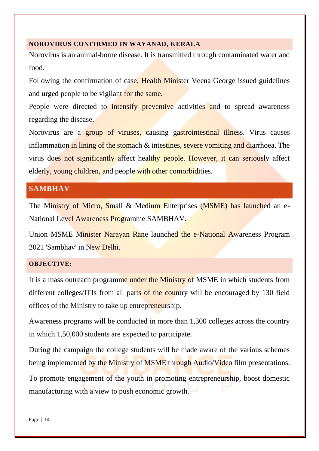#### <span id="page-14-0"></span>**NOROVIRUS CONFIRMED IN WAYANAD, KERALA**

Norovirus is an animal-borne disease. It is transmitted through contaminated water and food.

Following the confirmation of case, Health Minister Veena George issued guidelines and urged people to be vigilant for the same.

People were directed to intensify preventive activities and to spread awareness regarding the disease.

Norovirus are a group of viruses, causing gastrointestinal illness. Virus causes inflammation in lining of the stomach & intestines, severe vomiting and diarrhoea. The virus does not significantly affect healthy people. However, it can seriously affect elderly, young children, and people with other comorbidities.

#### <span id="page-14-1"></span>**SAMBHAV**

The Ministry of Micro, Small & Medium Enterprises (MSME) has launched an e-National Level Awareness Programme SAMBHAV.

Union MSME Minister Narayan Rane launched the e-National Awareness Program 2021 'Sambhav' in New Delhi.

#### <span id="page-14-2"></span>**OBJECTIVE:**

It is a mass outreach programme under the Ministry of MSME in which students from different colleges/ITIs from all parts of the country will be encouraged by 130 field offices of the Ministry to take up entrepreneurship.

Awareness programs will be conducted in more than 1,300 colleges across the country in which 1,50,000 students are expected to participate.

During the campaign the college students will be made aware of the various schemes being implemented by the Ministry of MSME through Audio/Video film presentations.

To promote engagement of the youth in promoting entrepreneurship, boost domestic manufacturing with a view to push economic growth.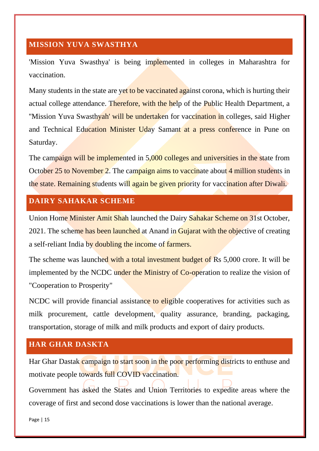#### <span id="page-15-0"></span>**MISSION YUVA SWASTHYA**

'Mission Yuva Swasthya' is being implemented in colleges in Maharashtra for vaccination.

Many students in the state are yet to be vaccinated against corona, which is hurting their actual college attendance. Therefore, with the help of the Public Health Department, a "Mission Yuva Swasthyah' will be undertaken for vaccination in colleges, said Higher and Technical Education Minister Uday Samant at a press conference in Pune on Saturday.

The campaign will be implemented in 5,000 colleges and universities in the state from October 25 to November 2. The campaign aims to vaccinate about 4 million students in the state. Remaining students will again be given priority for vaccination after Diwali.

#### <span id="page-15-1"></span>**DAIRY SAHAKAR SCHEME**

Union Home Minister Amit Shah launched the Dairy Sahakar Scheme on 31st October, 2021. The scheme has been launched at Anand in Gujarat with the objective of creating a self-reliant India by doubling the income of farmers.

The scheme was launched with a total investment budget of Rs 5,000 crore. It will be implemented by the NCDC under the Ministry of Co-operation to realize the vision of "Cooperation to Prosperity"

NCDC will provide financial assistance to eligible cooperatives for activities such as milk procurement, cattle development, quality assurance, branding, packaging, transportation, storage of milk and milk products and export of dairy products.

#### <span id="page-15-2"></span>**HAR GHAR DASKTA**

Har Ghar Dastak campaign to start soon in the poor performing districts to enthuse and motivate people towards full COVID vaccination.

Government has asked the States and Union Territories to expedite areas where the coverage of first and second dose vaccinations is lower than the national average.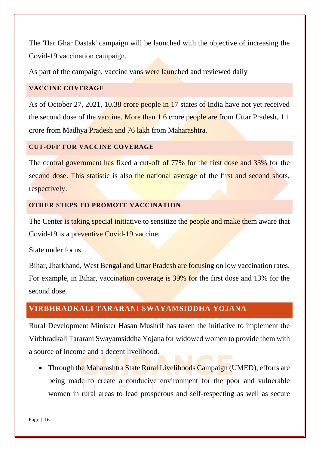The 'Har Ghar Dastak' campaign will be launched with the objective of increasing the Covid-19 vaccination campaign.

As part of the campaign, vaccine vans were launched and reviewed daily

#### <span id="page-16-0"></span>**VACCINE COVERAGE**

As of October 27, 2021, 10.38 crore people in 17 states of India have not yet received the second dose of the vaccine. More than 1.6 crore people are from Uttar Pradesh, 1.1 crore from Madhya Pradesh and 76 lakh from Maharashtra.

#### <span id="page-16-1"></span>**CUT-OFF FOR VACCINE COVERAGE**

The central government has fixed a cut-off of 77% for the first dose and 33% for the second dose. This statistic is also the national average of the first and second shots, respectively.

#### <span id="page-16-2"></span>**OTHER STEPS TO PROMOTE VACCINATION**

The Center is taking special initiative to sensitize the people and make them aware that Covid-19 is a preventive Covid-19 vaccine.

State under focus

Bihar, Jharkhand, West Bengal and Uttar Pradesh are focusing on low vaccination rates. For example, in Bihar, vaccination coverage is 39% for the first dose and 13% for the second dose.

#### <span id="page-16-3"></span>**VIRBHRADKALI TARARANI SWAYAMSIDDHA YOJANA**

Rural Development Minister Hasan Mushrif has taken the initiative to implement the Virbhradkali Tararani Swayamsiddha Yojana for widowed women to provide them with a source of income and a decent livelihood.

• Through the Maharashtra State Rural Livelihoods Campaign (UMED), efforts are being made to create a conducive environment for the poor and vulnerable women in rural areas to lead prosperous and self-respecting as well as secure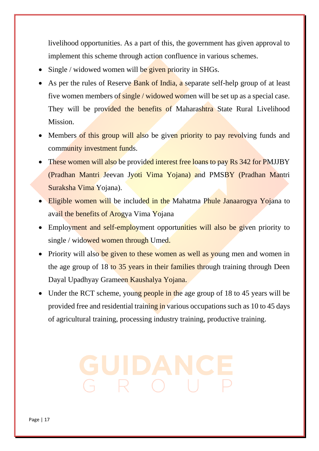livelihood opportunities. As a part of this, the government has given approval to implement this scheme through action confluence in various schemes.

- Single / widowed women will be given priority in SHGs.
- As per the rules of Reserve Bank of India, a separate self-help group of at least five women members of single / widowed women will be set up as a special case. They will be provided the benefits of Maharashtra State Rural Livelihood Mission.
- Members of this group will also be given priority to pay revolving funds and community investment funds.
- These women will also be provided interest free loans to pay Rs 342 for PMJJBY (Pradhan Mantri Jeevan Jyoti Vima Yojana) and PMSBY (Pradhan Mantri Suraksha Vima Yojana).
- Eligible women will be included in the Mahatma Phule Janaarogya Yojana to avail the benefits of Arogya Vima Yojana
- Employment and self-employment opportunities will also be given priority to single / widowed women through Umed.
- Priority will also be given to these women as well as young men and women in the age group of 18 to 35 years in their families through training through Deen Dayal Upadhyay Grameen Kaushalya Yojana.
- Under the RCT scheme, young people in the age group of 18 to 45 years will be provided free and residential training in various occupations such as 10 to 45 days of agricultural training, processing industry training, productive training.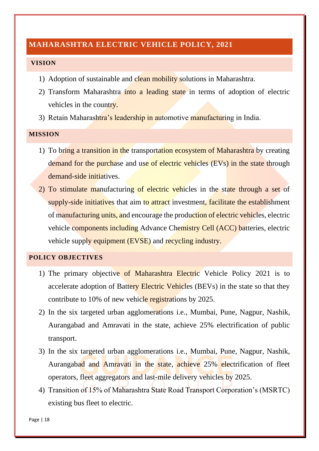#### <span id="page-18-0"></span>**MAHARASHTRA ELECTRIC VEHICLE POLICY, 2021**

#### <span id="page-18-1"></span>**VISION**

- 1) Adoption of sustainable and clean mobility solutions in Maharashtra.
- 2) Transform Maharashtra into a leading state in terms of adoption of electric vehicles in the country.
- 3) Retain Maharashtra's leadership in automotive manufacturing in India.

#### <span id="page-18-2"></span>**MISSION**

- 1) To bring a transition in the transportation ecosystem of Maharashtra by creating demand for the purchase and use of electric vehicles (EVs) in the state through demand-side initiatives.
- 2) To stimulate manufacturing of electric vehicles in the state through a set of supply-side initiatives that aim to attract investment, facilitate the establishment of manufacturing units, and encourage the production of electric vehicles, electric vehicle components including Advance Chemistry Cell (ACC) batteries, electric vehicle supply equipment (EVSE) and recycling industry.

#### <span id="page-18-3"></span>**POLICY OBJECTIVES**

- 1) The primary objective of Maharashtra Electric Vehicle Policy 2021 is to accelerate adoption of Battery Electric Vehicles (BEVs) in the state so that they contribute to 10% of new vehicle registrations by 2025.
- 2) In the six targeted urban agglomerations i.e., Mumbai, Pune, Nagpur, Nashik, Aurangabad and Amravati in the state, achieve 25% electrification of public transport.
- 3) In the six targeted urban agglomerations i.e., Mumbai, Pune, Nagpur, Nashik, Aurangabad and Amravati in the state, achieve 25% electrification of fleet operators, fleet aggregators and last-mile delivery vehicles by 2025.
- 4) Transition of 15% of Maharashtra State Road Transport Corporation's (MSRTC) existing bus fleet to electric.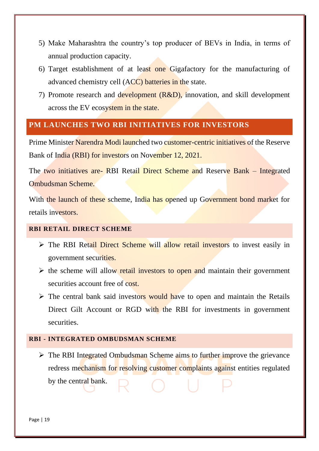- 5) Make Maharashtra the country's top producer of BEVs in India, in terms of annual production capacity.
- 6) Target establishment of at least one Gigafactory for the manufacturing of advanced chemistry cell (ACC) batteries in the state.
- 7) Promote research and development  $(R&D)$ , innovation, and skill development across the EV ecosystem in the state.

#### <span id="page-19-0"></span>**PM LAUNCHES TWO RBI INITIATIVES FOR INVESTORS**

Prime Minister Narendra Modi launched two customer-centric initiatives of the Reserve Bank of India (RBI) for investors on November 12, 2021.

The two initiatives are- RBI Retail Direct Scheme and Reserve Bank – Integrated Ombudsman Scheme.

With the launch of these scheme, India has opened up Government bond market for retails investors.

#### <span id="page-19-1"></span>**RBI RETAIL DIRECT SCHEME**

- ➢ The RBI Retail Direct Scheme will allow retail investors to invest easily in government securities.
- $\triangleright$  the scheme will allow retail investors to open and maintain their government securities account free of cost.
- $\triangleright$  The central bank said investors would have to open and maintain the Retails Direct Gilt Account or RGD with the RBI for investments in government securities.

#### <span id="page-19-2"></span>**RBI - INTEGRATED OMBUDSMAN SCHEME**

➢ The RBI Integrated Ombudsman Scheme aims to further improve the grievance redress mechanism for resolving customer complaints against entities regulated

by the central bank.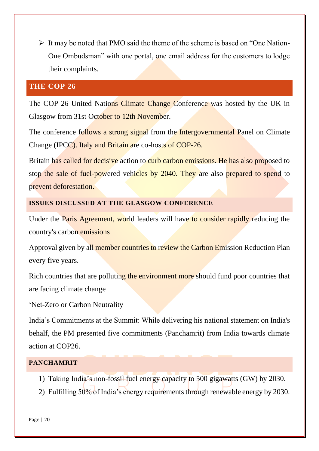➢ It may be noted that PMO said the theme of the scheme is based on "One Nation-One Ombudsman" with one portal, one email address for the customers to lodge their complaints.

#### <span id="page-20-0"></span>**THE COP 26**

The COP 26 United Nations Climate Change Conference was hosted by the UK in Glasgow from 31st October to 12th November.

The conference follows a strong signal from the Intergovernmental Panel on Climate Change (IPCC). Italy and Britain are co-hosts of COP-26.

Britain has called for decisive action to curb carbon emissions. He has also proposed to stop the sale of fuel-powered vehicles by 2040. They are also prepared to spend to prevent deforestation.

#### <span id="page-20-1"></span>**ISSUES DISCUSSED AT THE GLASGOW CONFERENCE**

Under the **Paris Agreement, world** leaders will have to consider rapidly reducing the country's carbon emissions

Approval given by all member countries to review the Carbon Emission Reduction Plan every five years.

Rich countries that are polluting the environment more should fund poor countries that are facing climate change

'Net-Zero or Carbon Neutrality

India's Commitments at the Summit: While delivering his national statement on India's behalf, the PM presented five commitments (Panchamrit) from India towards climate action at COP26.

#### <span id="page-20-2"></span>**PANCHAMRIT**

- 1) Taking India's non-fossil fuel energy capacity to 500 gigawatts (GW) by 2030.
- 2) Fulfilling 50% of India's energy requirements through renewable energy by 2030.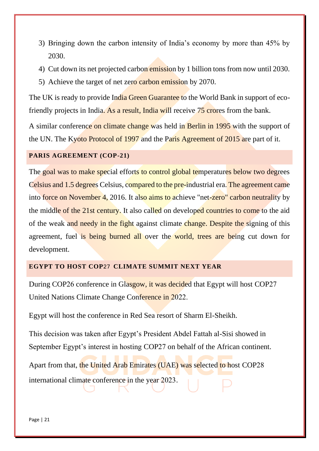- 3) Bringing down the carbon intensity of India's economy by more than 45% by 2030.
- 4) Cut down its net projected carbon emission by 1 billion tons from now until 2030.
- 5) Achieve the target of net zero carbon emission by 2070.

The UK is ready to provide India Green Guarantee to the World Bank in support of ecofriendly projects in India. As a result, India will receive 75 crores from the bank.

A similar conference on climate change was held in Berlin in 1995 with the support of the UN. The Kyoto Protocol of 1997 and the Paris Agreement of 2015 are part of it.

#### <span id="page-21-0"></span>**PARIS AGREEMENT (COP-21)**

The goal was to make special efforts to control global temperatures below two degrees Celsius and 1.5 degrees Celsius, compared to the pre-industrial era. The agreement came into force on November 4, 2016. It also aims to achieve "net-zero" carbon neutrality by the middle of the 21st century. It also called on developed countries to come to the aid of the weak and needy in the fight against climate change. Despite the signing of this agreement, fuel is being burned all over the world, trees are being cut down for development.

#### <span id="page-21-1"></span>**EGYPT TO HOST COP**27 **CLIMATE SUMMIT NEXT YEAR**

During COP26 conference in Glasgow, it was decided that Egypt will host COP27 United Nations Climate Change Conference in 2022.

Egypt will host the conference in Red Sea resort of Sharm El-Sheikh.

This decision was taken after Egypt's President Abdel Fattah al-Sisi showed in September Egypt's interest in hosting COP27 on behalf of the African continent.

Apart from that, the United Arab Emirates (UAE) was selected to host COP28 international climate conference in the year 2023.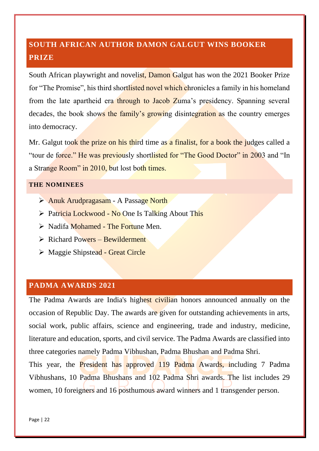# <span id="page-22-0"></span>**SOUTH AFRICAN AUTHOR DAMON GALGUT WINS BOOKER PRIZE**

South African playwright and novelist, Damon Galgut has won the 2021 Booker Prize for "The Promise", his third shortlisted novel which chronicles a family in his homeland from the late apartheid era through to Jacob Zuma's presidency. Spanning several decades, the book shows the family's growing disintegration as the country emerges into democracy.

Mr. Galgut took the prize on his third time as a finalist, for a book the judges called a "tour de force." He was previously shortlisted for "The Good Doctor" in 2003 and "In a Strange Room" in 2010, but lost both times.

#### <span id="page-22-1"></span>**THE NOMINEES**

- ➢ Anuk Arudpragasam A Passage North
- ➢ Patricia Lockwood No One Is Talking About This
- $\triangleright$  Nadifa Mohamed The Fortune Men.
- $\triangleright$  Richard Powers Bewilderment
- ➢ Maggie Shipstead Great Circle

#### <span id="page-22-2"></span>**PADMA AWARDS 2021**

The Padma Awards are India's highest civilian honors announced annually on the occasion of Republic Day. The awards are given for outstanding achievements in arts, social work, public affairs, science and engineering, trade and industry, medicine, literature and education, sports, and civil service. The Padma Awards are classified into three categories namely Padma Vibhushan, Padma Bhushan and Padma Shri.

This year, the **President** has approved 119 Padma Awards, including 7 Padma Vibhushans, 10 Padma Bhushans and 102 Padma Shri awards. The list includes 29 women, 10 foreigners and 16 posthumous award winners and 1 transgender person.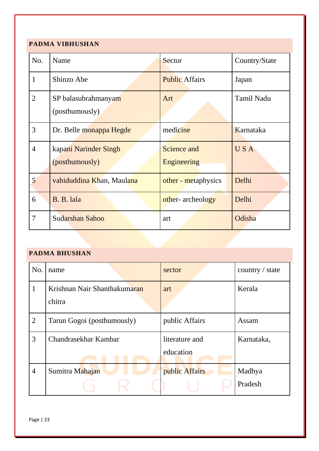#### <span id="page-23-0"></span>**PADMA VIBHUSHAN**

| No.            | Name                                    | Sector                     | Country/State     |
|----------------|-----------------------------------------|----------------------------|-------------------|
| 1              | Shinzo Abe                              | <b>Public Affairs</b>      | Japan             |
| $\overline{2}$ | SP balasubrahmanyam<br>(posthumously)   | Art                        | <b>Tamil Nadu</b> |
| 3              | Dr. Belle monappa Hegde                 | medicine                   | Karnataka         |
| $\overline{4}$ | kapani Narinder Singh<br>(posthumously) | Science and<br>Engineering | <b>USA</b>        |
| 5              | vahiduddina Khan, Maulana               | other - metaphysics        | Delhi             |
| 6              | B. B. lala                              | other-archeology           | Delhi             |
| 7              | <b>Sudarshan Sahoo</b>                  | art                        | Odisha            |

#### <span id="page-23-1"></span>**PADMA BHUSHAN**

| No.            | name                                   | sector                      | country / state   |
|----------------|----------------------------------------|-----------------------------|-------------------|
| 1              | Krishnan Nair Shanthakumaran<br>chitra | art                         | Kerala            |
| $\overline{2}$ | Tarun Gogoi (posthumously)             | public Affairs              | Assam             |
| 3              | Chandrasekhar Kambar                   | literature and<br>education | Karnataka,        |
| $\overline{4}$ | Sumitra Mahajan                        | public Affairs              | Madhya<br>Pradesh |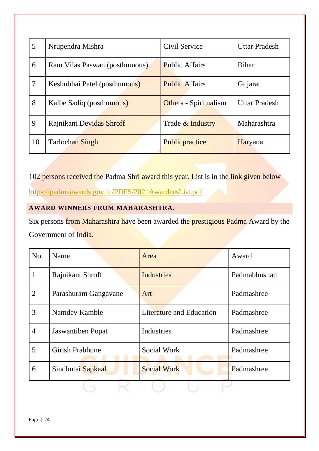| 5  | Nrupendra Mishra                | Civil Service                | <b>Uttar Pradesh</b> |
|----|---------------------------------|------------------------------|----------------------|
| 6  | Ram Vilas Paswan (posthumous)   | <b>Public Affairs</b>        | <b>Bihar</b>         |
| 7  | Keshubhai Patel (posthumous)    | <b>Public Affairs</b>        | Gujarat              |
| 8  | Kalbe Sadiq (posthumous)        | <b>Others</b> - Spiritualism | <b>Uttar Pradesh</b> |
| 9  | <b>Rajnikant Devidas Shroff</b> | Trade & Industry             | Maharashtra          |
| 10 | Tarlochan Singh                 | Publicpractice               | Haryana              |

102 persons received the Padma Shri award this year. List is in the link given below

<https://padmaawards.gov.in/PDFS/2021AwardeesList.pdf>

#### <span id="page-24-0"></span>**AWARD WINNERS FROM MAHARASHTRA.**

Six persons from Maharashtra have been awarded the prestigious Padma Award by the Government of India.

| No.            | Name                     | Area                     | Award        |
|----------------|--------------------------|--------------------------|--------------|
| 1              | Rajnikant Shroff         | <b>Industries</b>        | Padmabhushan |
| $\overline{2}$ | Parashuram Gangavane     | Art                      | Padmashree   |
| 3              | Namdey Kamble            | Literature and Education | Padmashree   |
| $\overline{4}$ | <b>Jaswantiben</b> Popat | Industries               | Padmashree   |
| 5              | <b>Girish Prabhune</b>   | Social Work              | Padmashree   |
| 6              | Sindhutai Sapkaal        | <b>Social Work</b>       | Padmashree   |
|                |                          |                          |              |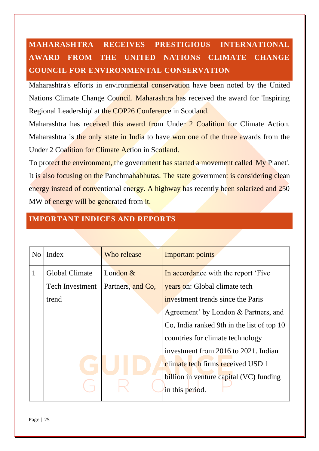# <span id="page-25-0"></span>**MAHARASHTRA RECEIVES PRESTIGIOUS INTERNATIONAL AWARD FROM THE UNITED NATIONS CLIMATE CHANGE COUNCIL FOR ENVIRONMENTAL CONSERVATION**

Maharashtra's efforts in environmental conservation have been noted by the United Nations Climate Change Council. Maharashtra has received the award for 'Inspiring Regional Leadership' at the COP26 Conference in Scotland.

Maharashtra has received this award from Under 2 Coalition for Climate Action. Maharashtra is the only state in India to have won one of the three awards from the Under 2 Coalition for Climate Action in Scotland.

To protect the environment, the government has started a movement called 'My Planet'. It is also focusing on the Panchmahabhutas. The state government is considering clean energy instead of conventional energy. A highway has recently been solarized and 250 MW of energy will be generated from it.

| N <sub>o</sub> | Index                  | Who release       | Important points                           |
|----------------|------------------------|-------------------|--------------------------------------------|
| $\mathbf{1}$   | <b>Global Climate</b>  | London $&$        | In accordance with the report 'Five        |
|                | <b>Tech Investment</b> | Partners, and Co, | years on: Global climate tech              |
|                | trend                  |                   | investment trends since the Paris          |
|                |                        |                   | Agreement' by London & Partners, and       |
|                |                        |                   | Co, India ranked 9th in the list of top 10 |
|                |                        |                   | countries for climate technology           |
|                |                        |                   | investment from 2016 to 2021. Indian       |
|                |                        |                   | climate tech firms received USD 1          |
|                |                        |                   | billion in venture capital (VC) funding    |
|                |                        |                   | in this period.                            |
|                |                        |                   |                                            |

### <span id="page-25-1"></span>**IMPORTANT INDICES AND REPORTS**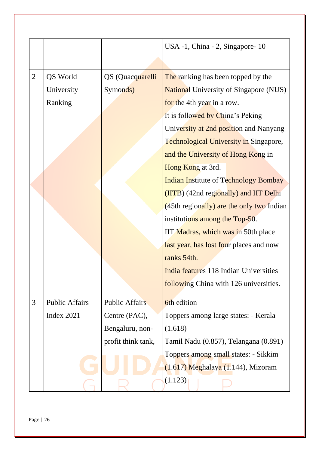|                |                       |                       | USA -1, China - 2, Singapore-10               |  |
|----------------|-----------------------|-----------------------|-----------------------------------------------|--|
|                |                       |                       |                                               |  |
| $\overline{2}$ | QS World              | QS (Quacquarelli      | The ranking has been topped by the            |  |
|                | University            | Symonds)              | <b>National University of Singapore (NUS)</b> |  |
|                | Ranking               |                       | for the 4th year in a row.                    |  |
|                |                       |                       | It is followed by China's Peking              |  |
|                |                       |                       | University at 2nd position and Nanyang        |  |
|                |                       |                       | <b>Technological University in Singapore,</b> |  |
|                |                       |                       | and the University of Hong Kong in            |  |
|                |                       |                       | Hong Kong at 3rd.                             |  |
|                |                       |                       | <b>Indian Institute of Technology Bombay</b>  |  |
|                |                       |                       | (IITB) (42nd regionally) and IIT Delhi        |  |
|                |                       |                       | (45th regionally) are the only two Indian     |  |
|                |                       |                       | institutions among the Top-50.                |  |
|                |                       |                       | IIT Madras, which was in 50th place           |  |
|                |                       |                       | last year, has lost four places and now       |  |
|                |                       |                       | ranks 54th.                                   |  |
|                |                       |                       | India features 118 Indian Universities        |  |
|                |                       |                       | following China with 126 universities.        |  |
| 3              | <b>Public Affairs</b> | <b>Public Affairs</b> | 6th edition                                   |  |
|                | Index 2021            | Centre (PAC),         | Toppers among large states: - Kerala          |  |
|                |                       | Bengaluru, non-       | (1.618)                                       |  |
|                |                       | profit think tank,    | Tamil Nadu (0.857), Telangana (0.891)         |  |
|                |                       |                       | Toppers among small states: - Sikkim          |  |
|                |                       |                       | $(1.617)$ Meghalaya $(1.144)$ , Mizoram       |  |
|                |                       |                       | (1.123)                                       |  |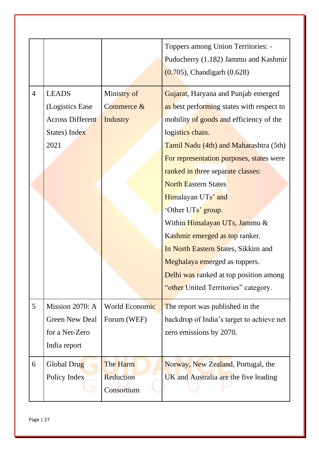| <b>LEADS</b><br>Ministry of<br>$\overline{4}$<br>Gujarat, Haryana and Punjab emerged<br>as best performing states with respect to<br>(Logistics Ease<br>Commerce &<br><b>Across Different</b><br>mobility of goods and efficiency of the<br><b>Industry</b> | Toppers among Union Territories: -<br>Puducherry (1.182) Jammu and Kashmir<br>$(0.705)$ , Chandigarh $(0.628)$ |
|-------------------------------------------------------------------------------------------------------------------------------------------------------------------------------------------------------------------------------------------------------------|----------------------------------------------------------------------------------------------------------------|
|                                                                                                                                                                                                                                                             |                                                                                                                |
|                                                                                                                                                                                                                                                             |                                                                                                                |
|                                                                                                                                                                                                                                                             |                                                                                                                |
| States) Index<br>logistics chain.                                                                                                                                                                                                                           |                                                                                                                |
| 2021<br>Tamil Nadu (4th) and Maharashtra (5th)                                                                                                                                                                                                              |                                                                                                                |
| For representation purposes, states were                                                                                                                                                                                                                    |                                                                                                                |
| ranked in three separate classes:                                                                                                                                                                                                                           |                                                                                                                |
| <b>North Eastern States</b>                                                                                                                                                                                                                                 |                                                                                                                |
| Himalayan UTs' and                                                                                                                                                                                                                                          |                                                                                                                |
| 'Other UTs' group.                                                                                                                                                                                                                                          |                                                                                                                |
| Within Himalayan UTs, Jammu &                                                                                                                                                                                                                               |                                                                                                                |
| Kashmir emerged as top ranker.                                                                                                                                                                                                                              |                                                                                                                |
| In North Eastern States, Sikkim and                                                                                                                                                                                                                         |                                                                                                                |
| Meghalaya emerged as toppers.                                                                                                                                                                                                                               |                                                                                                                |
| Delhi was ranked at top position among                                                                                                                                                                                                                      |                                                                                                                |
| "other United Territories" category.                                                                                                                                                                                                                        |                                                                                                                |
| 5<br>Mission 2070: A<br>World Economic<br>The report was published in the                                                                                                                                                                                   |                                                                                                                |
| <b>Green New Deal</b><br>Forum (WEF)<br>backdrop of India's target to achieve net                                                                                                                                                                           |                                                                                                                |
| for a Net-Zero<br>zero emissions by 2070.                                                                                                                                                                                                                   |                                                                                                                |
| India report                                                                                                                                                                                                                                                |                                                                                                                |
| 6<br>The Harm<br>Global Drug<br>Norway, New Zealand, Portugal, the                                                                                                                                                                                          |                                                                                                                |
| Reduction<br>Policy Index<br>UK and Australia are the five leading<br>Consortium                                                                                                                                                                            |                                                                                                                |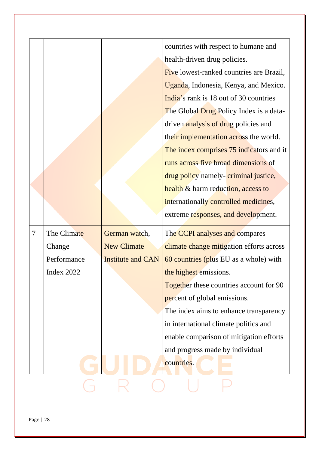|                |             |                          | countries with respect to humane and           |
|----------------|-------------|--------------------------|------------------------------------------------|
|                |             |                          | health-driven drug policies.                   |
|                |             |                          | Five lowest-ranked countries are Brazil,       |
|                |             |                          | Uganda, Indonesia, Kenya, and Mexico.          |
|                |             |                          | India's rank is 18 out of 30 countries         |
|                |             |                          | The Global Drug Policy Index is a data-        |
|                |             |                          | driven analysis of drug policies and           |
|                |             |                          | their implementation across the world.         |
|                |             |                          | The index comprises 75 indicators and it       |
|                |             |                          | runs across five broad dimensions of           |
|                |             |                          | drug policy namely-criminal justice,           |
|                |             |                          | health & harm reduction, access to             |
|                |             |                          | internationally controlled medicines,          |
|                |             |                          | extreme responses, and development.            |
| $\overline{7}$ | The Climate | German watch,            | The CCPI analyses and compares                 |
|                | Change      | <b>New Climate</b>       | climate change mitigation efforts across       |
|                | Performance | <b>Institute and CAN</b> | 60 countries (plus EU as a whole) with         |
|                | Index 2022  |                          | the highest emissions.                         |
|                |             |                          | <b>Together these countries account for 90</b> |
|                |             |                          | percent of global emissions.                   |
|                |             |                          | The index aims to enhance transparency         |
|                |             |                          | in international climate politics and          |
|                |             |                          | enable comparison of mitigation efforts        |
|                |             |                          | and progress made by individual                |
|                |             |                          | countries.                                     |
|                |             |                          |                                                |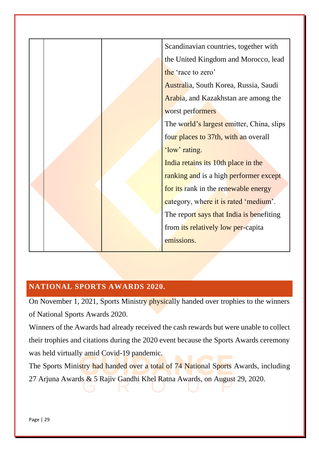

#### <span id="page-29-0"></span>**NATIONAL SPORTS AWARDS 2020.**

On November 1, 2021, Sports Ministry physically handed over trophies to the winners of National Sports Awards 2020.

Winners of the Awards had already received the cash rewards but were unable to collect their trophies and citations during the 2020 event because the Sports Awards ceremony was held virtually amid Covid-19 pandemic.

The Sports Ministry had handed over a total of 74 National Sports Awards, including 27 Arjuna Awards & 5 Rajiv Gandhi Khel Ratna Awards, on August 29, 2020.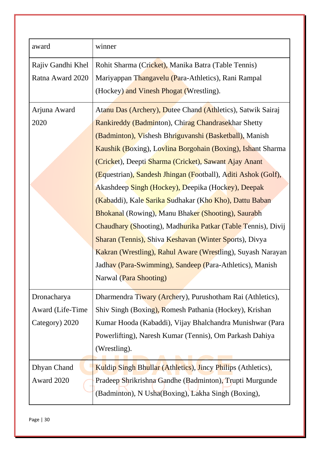| award             | winner                                                              |  |
|-------------------|---------------------------------------------------------------------|--|
| Rajiv Gandhi Khel | Rohit Sharma (Cricket), Manika Batra (Table Tennis)                 |  |
| Ratna Award 2020  | Mariyappan Thangavelu (Para-Athletics), Rani Rampal                 |  |
|                   | (Hockey) and Vinesh Phogat (Wrestling).                             |  |
| Arjuna Award      | Atanu Das (Archery), Dutee Chand (Athletics), Satwik Sairaj         |  |
| 2020              | Rankireddy (Badminton), Chirag Chandrasekhar Shetty                 |  |
|                   | (Badminton), Vishesh Bhriguvanshi (Basketball), Manish              |  |
|                   | Kaushik (Boxing), Lovlina Borgohain (Boxing), Ishant Sharma         |  |
|                   | (Cricket), Deepti Sharma (Cricket), Sawant Ajay Anant               |  |
|                   | (Equestrian), Sandesh Jhingan (Football), Aditi Ashok (Golf),       |  |
|                   | Akashdeep Singh (Hockey), Deepika (Hockey), Deepak                  |  |
|                   | (Kabaddi), Kale Sarika Sudhakar (Kho Kho), Dattu Baban              |  |
|                   | <b>Bhokanal (Rowing), Manu Bhaker (Shooting), Saurabh</b>           |  |
|                   | Chaudhary (Shooting), Madhurika Patkar (Table Tennis), Divij        |  |
|                   | <b>Sharan (Tennis), Shiva Keshavan (Winter Sports), Divya</b>       |  |
|                   | Kakran (Wrestling), Rahul Aware (Wrestling), Suyash Narayan         |  |
|                   | Jadhav (Para-Swimming), Sandeep (Para-Athletics), Manish            |  |
|                   | Narwal (Para Shooting)                                              |  |
| Dronacharya       | Dharmendra Tiwary (Archery), Purushotham Rai (Athletics),           |  |
| Award (Life-Time  | Shiv Singh (Boxing), Romesh Pathania (Hockey), Krishan              |  |
| Category) 2020    | Kumar Hooda (Kabaddi), Vijay Bhalchandra Munishwar (Para            |  |
|                   | Powerlifting), Naresh Kumar (Tennis), Om Parkash Dahiya             |  |
|                   | (Wrestling).                                                        |  |
| Dhyan Chand       | <b>Kuldip Singh Bhullar (Athletics), Jincy Philips (Athletics),</b> |  |
| Award 2020        | Pradeep Shrikrishna Gandhe (Badminton), Trupti Murgunde             |  |
|                   | (Badminton), N Usha(Boxing), Lakha Singh (Boxing),                  |  |
|                   |                                                                     |  |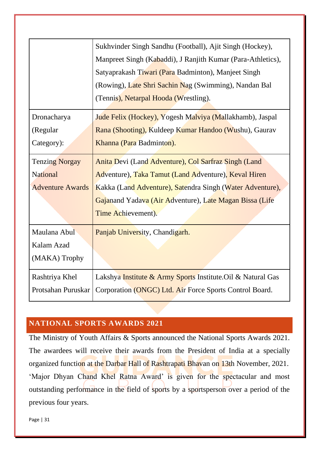|                         | Sukhvinder Singh Sandhu (Football), Ajit Singh (Hockey),     |
|-------------------------|--------------------------------------------------------------|
|                         | Manpreet Singh (Kabaddi), J Ranjith Kumar (Para-Athletics),  |
|                         | Satyaprakash Tiwari (Para Badminton), Manjeet Singh          |
|                         | (Rowing), Late Shri Sachin Nag (Swimming), Nandan Bal        |
|                         | (Tennis), Netarpal Hooda (Wrestling).                        |
| Dronacharya             | Jude Felix (Hockey), Yogesh Malviya (Mallakhamb), Jaspal     |
| (Regular                | Rana (Shooting), Kuldeep Kumar Handoo (Wushu), Gaurav        |
| Category):              | Khanna (Para Badminton).                                     |
| <b>Tenzing Norgay</b>   | Anita Devi (Land Adventure), Col Sarfraz Singh (Land         |
| <b>National</b>         | Adventure), Taka Tamut (Land Adventure), Keval Hiren         |
| <b>Adventure Awards</b> | Kakka (Land Adventure), Satendra Singh (Water Adventure),    |
|                         | Gajanand Yadava (Air Adventure), Late Magan Bissa (Life      |
|                         | Time Achievement).                                           |
| Maulana Abul            | Panjab University, Chandigarh.                               |
| Kalam Azad              |                                                              |
| (MAKA) Trophy           |                                                              |
| Rashtriya Khel          | Lakshya Institute & Army Sports Institute. Oil & Natural Gas |
| Protsahan Puruskar      | Corporation (ONGC) Ltd. Air Force Sports Control Board.      |

#### <span id="page-31-0"></span>**NATIONAL SPORTS AWARDS 2021**

The Ministry of Youth Affairs & Sports announced the National Sports Awards 2021. The awardees will receive their awards from the President of India at a specially organized function at the Darbar Hall of Rashtrapati Bhavan on 13th November, 2021. 'Major Dhyan Chand Khel Ratna Award' is given for the spectacular and most outstanding performance in the field of sports by a sportsperson over a period of the previous four years.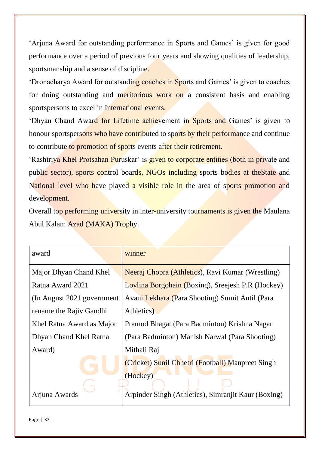'Arjuna Award for outstanding performance in Sports and Games' is given for good performance over a period of previous four years and showing qualities of leadership, sportsmanship and a sense of discipline.

'Dronacharya Award for outstanding coaches in Sports and Games' is given to coaches for doing outstanding and meritorious work on a consistent basis and enabling sportspersons to excel in International events.

'Dhyan Chand Award for Lifetime achievement in Sports and Games' is given to honour sportspersons who have contributed to sports by their performance and continue to contribute to promotion of sports events after their retirement.

'Rashtriya Khel Protsahan Puruskar' is given to corporate entities (both in private and public sector), sports control boards, NGOs including sports bodies at theState and National level who have played a visible role in the area of sports promotion and development.

Overall top performing university in inter-university tournaments is given the Maulana Abul Kalam Azad (MAKA) Trophy.

| award                       | winner                                              |
|-----------------------------|-----------------------------------------------------|
| Major Dhyan Chand Khel      | Neeraj Chopra (Athletics), Ravi Kumar (Wrestling)   |
| Ratna Award 2021            | Lovlina Borgohain (Boxing), Sreejesh P.R (Hockey)   |
| (In August 2021 government) | Avani Lekhara (Para Shooting) Sumit Antil (Para     |
| rename the Rajiv Gandhi     | Athletics)                                          |
| Khel Ratna Award as Major   | Pramod Bhagat (Para Badminton) Krishna Nagar        |
| Dhyan Chand Khel Ratna      | (Para Badminton) Manish Narwal (Para Shooting)      |
| Award)                      | Mithali Raj                                         |
|                             | (Cricket) Sunil Chhetri (Football) Manpreet Singh   |
|                             | (Hockey)                                            |
| Arjuna Awards               | Arpinder Singh (Athletics), Simranjit Kaur (Boxing) |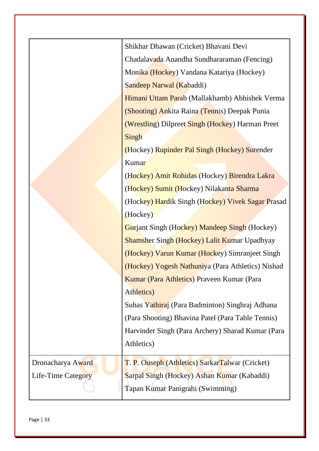|                    | Shikhar Dhawan (Cricket) Bhavani Devi                |
|--------------------|------------------------------------------------------|
|                    | Chadalayada Anandha Sundhararaman (Fencing)          |
|                    | Monika (Hockey) Vandana Katariya (Hockey)            |
|                    | Sandeep Narwal (Kabaddi)                             |
|                    | Himani Uttam Parab (Mallakhamb) Abhishek Verma       |
|                    | (Shooting) Ankita Raina (Tennis) Deepak Punia        |
|                    | (Wrestling) Dilpreet Singh (Hockey) Harman Preet     |
|                    | Singh                                                |
|                    | (Hockey) Rupinder Pal Singh (Hockey) Surender        |
|                    | Kumar                                                |
|                    | (Hockey) Amit Rohidas (Hockey) Birendra Lakra        |
|                    | (Hockey) Sumit (Hockey) Nilakanta Sharma             |
|                    | (Hockey) Hardik Singh (Hockey) Vivek Sagar Prasad    |
|                    | (Hockey)                                             |
|                    | <b>Gurjant Singh (Hockey) Mandeep Singh (Hockey)</b> |
|                    | <b>Shamsher Singh (Hockey) Lalit Kumar Upadhyay</b>  |
|                    | (Hockey) Varun Kumar (Hockey) Simranjeet Singh       |
|                    | (Hockey) Yogesh Nathuniya (Para Athletics) Nishad    |
|                    | Kumar (Para Athletics) Praveen Kumar (Para           |
|                    | Athletics)                                           |
|                    | Suhas Yathiraj (Para Badminton) Singhraj Adhana      |
|                    | (Para Shooting) Bhavina Patel (Para Table Tennis)    |
|                    | Harvinder Singh (Para Archery) Sharad Kumar (Para    |
|                    | Athletics)                                           |
| Dronacharya Award  | T. P. Ouseph (Athletics) SarkarTalwar (Cricket)      |
| Life-Time Category | Sarpal Singh (Hockey) Ashan Kumar (Kabaddi)          |
|                    | Tapan Kumar Panigrahi (Swimming)                     |
|                    |                                                      |